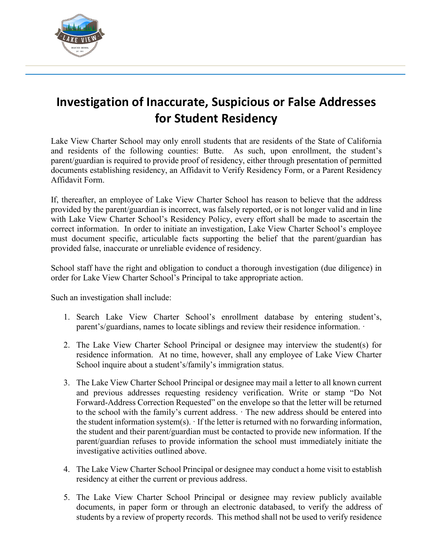

## **Investigation of Inaccurate, Suspicious or False Addresses for Student Residency**

Lake View Charter School may only enroll students that are residents of the State of California and residents of the following counties: Butte. As such, upon enrollment, the student's parent/guardian is required to provide proof of residency, either through presentation of permitted documents establishing residency, an Affidavit to Verify Residency Form, or a Parent Residency Affidavit Form.

If, thereafter, an employee of Lake View Charter School has reason to believe that the address provided by the parent/guardian is incorrect, was falsely reported, or is not longer valid and in line with Lake View Charter School's Residency Policy, every effort shall be made to ascertain the correct information. In order to initiate an investigation, Lake View Charter School's employee must document specific, articulable facts supporting the belief that the parent/guardian has provided false, inaccurate or unreliable evidence of residency.

School staff have the right and obligation to conduct a thorough investigation (due diligence) in order for Lake View Charter School's Principal to take appropriate action.

Such an investigation shall include:

- 1. Search Lake View Charter School's enrollment database by entering student's, parent's/guardians, names to locate siblings and review their residence information. ·
- 2. The Lake View Charter School Principal or designee may interview the student(s) for residence information. At no time, however, shall any employee of Lake View Charter School inquire about a student's/family's immigration status.
- 3. The Lake View Charter School Principal or designee may mail a letter to all known current and previous addresses requesting residency verification. Write or stamp "Do Not Forward-Address Correction Requested" on the envelope so that the letter will be returned to the school with the family's current address. · The new address should be entered into the student information system(s).  $\cdot$  If the letter is returned with no forwarding information, the student and their parent/guardian must be contacted to provide new information. If the parent/guardian refuses to provide information the school must immediately initiate the investigative activities outlined above.
- 4. The Lake View Charter School Principal or designee may conduct a home visit to establish residency at either the current or previous address.
- 5. The Lake View Charter School Principal or designee may review publicly available documents, in paper form or through an electronic databased, to verify the address of students by a review of property records. This method shall not be used to verify residence